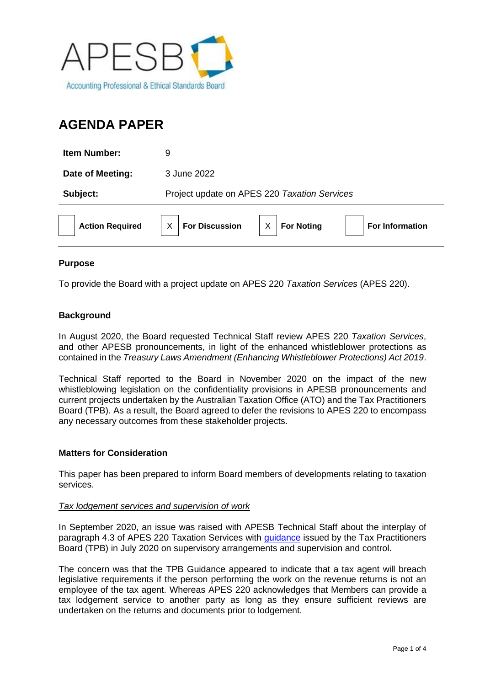

# **AGENDA PAPER**

| <b>Item Number:</b>    | 9                                                                                    |
|------------------------|--------------------------------------------------------------------------------------|
| Date of Meeting:       | 3 June 2022                                                                          |
| Subject:               | Project update on APES 220 Taxation Services                                         |
| <b>Action Required</b> | <b>For Discussion</b><br>$\sf X$<br><b>For Noting</b><br>X<br><b>For Information</b> |

## **Purpose**

To provide the Board with a project update on APES 220 *Taxation Services* (APES 220).

## **Background**

In August 2020, the Board requested Technical Staff review APES 220 *Taxation Services*, and other APESB pronouncements, in light of the enhanced whistleblower protections as contained in the *Treasury Laws Amendment (Enhancing Whistleblower Protections) Act 2019*.

Technical Staff reported to the Board in November 2020 on the impact of the new whistleblowing legislation on the confidentiality provisions in APESB pronouncements and current projects undertaken by the Australian Taxation Office (ATO) and the Tax Practitioners Board (TPB). As a result, the Board agreed to defer the revisions to APES 220 to encompass any necessary outcomes from these stakeholder projects.

#### **Matters for Consideration**

This paper has been prepared to inform Board members of developments relating to taxation services.

#### *Tax lodgement services and supervision of work*

In September 2020, an issue was raised with APESB Technical Staff about the interplay of paragraph 4.3 of APES 220 Taxation Services with [guidance](https://www.tpb.gov.au/supervisory-arrangements-and-supervision-and-control) issued by the Tax Practitioners Board (TPB) in July 2020 on supervisory arrangements and supervision and control.

The concern was that the TPB Guidance appeared to indicate that a tax agent will breach legislative requirements if the person performing the work on the revenue returns is not an employee of the tax agent. Whereas APES 220 acknowledges that Members can provide a tax lodgement service to another party as long as they ensure sufficient reviews are undertaken on the returns and documents prior to lodgement.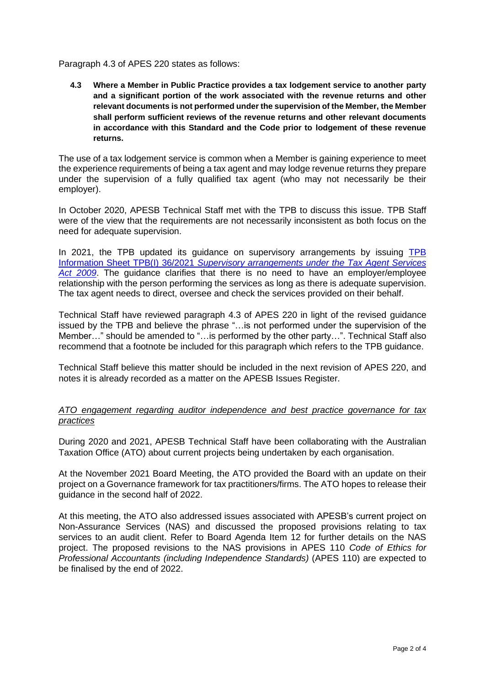Paragraph 4.3 of APES 220 states as follows:

**4.3 Where a Member in Public Practice provides a tax lodgement service to another party and a significant portion of the work associated with the revenue returns and other relevant documents is not performed under the supervision of the Member, the Member shall perform sufficient reviews of the revenue returns and other relevant documents in accordance with this Standard and the Code prior to lodgement of these revenue returns.**

The use of a tax lodgement service is common when a Member is gaining experience to meet the experience requirements of being a tax agent and may lodge revenue returns they prepare under the supervision of a fully qualified tax agent (who may not necessarily be their employer).

In October 2020, APESB Technical Staff met with the TPB to discuss this issue. TPB Staff were of the view that the requirements are not necessarily inconsistent as both focus on the need for adequate supervision.

In 2021, the [TPB](https://www.tpb.gov.au/tpbi-362021-supervisory-arrangements-under-tax-agent-services-act-2009) updated its guidance on supervisory arrangements by issuing TPB Information Sheet TPB(I) 36/2021 *[Supervisory arrangements under the](https://www.tpb.gov.au/tpbi-362021-supervisory-arrangements-under-tax-agent-services-act-2009) Tax Agent Services [Act 2009](https://www.tpb.gov.au/tpbi-362021-supervisory-arrangements-under-tax-agent-services-act-2009)*. The guidance clarifies that there is no need to have an employer/employee relationship with the person performing the services as long as there is adequate supervision. The tax agent needs to direct, oversee and check the services provided on their behalf.

Technical Staff have reviewed paragraph 4.3 of APES 220 in light of the revised guidance issued by the TPB and believe the phrase "…is not performed under the supervision of the Member…" should be amended to "…is performed by the other party…". Technical Staff also recommend that a footnote be included for this paragraph which refers to the TPB guidance.

Technical Staff believe this matter should be included in the next revision of APES 220, and notes it is already recorded as a matter on the APESB Issues Register.

## *ATO engagement regarding auditor independence and best practice governance for tax practices*

During 2020 and 2021, APESB Technical Staff have been collaborating with the Australian Taxation Office (ATO) about current projects being undertaken by each organisation.

At the November 2021 Board Meeting, the ATO provided the Board with an update on their project on a Governance framework for tax practitioners/firms. The ATO hopes to release their guidance in the second half of 2022.

At this meeting, the ATO also addressed issues associated with APESB's current project on Non-Assurance Services (NAS) and discussed the proposed provisions relating to tax services to an audit client. Refer to Board Agenda Item 12 for further details on the NAS project. The proposed revisions to the NAS provisions in APES 110 *Code of Ethics for Professional Accountants (including Independence Standards)* (APES 110) are expected to be finalised by the end of 2022.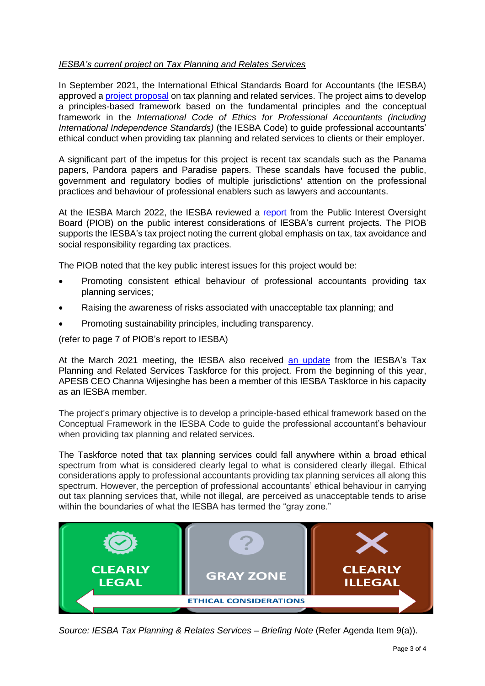## *IESBA's current project on Tax Planning and Relates Services*

In September 2021, the International Ethical Standards Board for Accountants (the IESBA) approved a [project proposal](https://www.ifac.org/system/files/meetings/files/Agenda-Item-9E-Tax-Planning-and-Related-Services-Project-Proposal-Approved.pdf) on tax planning and related services. The project aims to develop a principles-based framework based on the fundamental principles and the conceptual framework in the *International Code of Ethics for Professional Accountants (including International Independence Standards)* (the IESBA Code) to guide professional accountants' ethical conduct when providing tax planning and related services to clients or their employer.

A significant part of the impetus for this project is recent tax scandals such as the Panama papers, Pandora papers and Paradise papers. These scandals have focused the public, government and regulatory bodies of multiple jurisdictions' attention on the professional practices and behaviour of professional enablers such as lawyers and accountants.

At the IESBA March 2022, the IESBA reviewed a [report](https://www.ifac.org/system/files/meetings/files/Agenda-Item-1A-PIOBs-PI-Issues-on-IESBA-projects-Feb-2022.pdf) from the Public Interest Oversight Board (PIOB) on the public interest considerations of IESBA's current projects. The PIOB supports the IESBA's tax project noting the current global emphasis on tax, tax avoidance and social responsibility regarding tax practices.

The PIOB noted that the key public interest issues for this project would be:

- Promoting consistent ethical behaviour of professional accountants providing tax planning services;
- Raising the awareness of risks associated with unacceptable tax planning; and
- Promoting sustainability principles, including transparency.

(refer to page 7 of PIOB's report to IESBA)

At the March 2021 meeting, the IESBA also received [an update](https://www.ifac.org/system/files/meetings/files/Agenda-Item-7A-Tax-Planning-and-Related-Services-Presentation-Slides.pdf) from the IESBA's Tax Planning and Related Services Taskforce for this project. From the beginning of this year, APESB CEO Channa Wijesinghe has been a member of this IESBA Taskforce in his capacity as an IESBA member.

The project's primary objective is to develop a principle-based ethical framework based on the Conceptual Framework in the IESBA Code to guide the professional accountant's behaviour when providing tax planning and related services.

The Taskforce noted that tax planning services could fall anywhere within a broad ethical spectrum from what is considered clearly legal to what is considered clearly illegal. Ethical considerations apply to professional accountants providing tax planning services all along this spectrum. However, the perception of professional accountants' ethical behaviour in carrying out tax planning services that, while not illegal, are perceived as unacceptable tends to arise within the boundaries of what the IESBA has termed the "gray zone."



*Source: IESBA Tax Planning & Relates Services – Briefing Note* (Refer Agenda Item 9(a)).